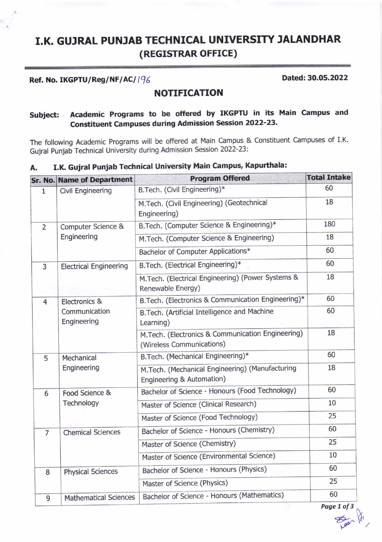# I.K. GUJRAL PUNJAB TECHNICAL UNIVERSITY JALANDHAR (REGTSTRAR OFFICE)

## Ref. No. IKGPTU/Reg/NF/AC/196 2002 2022

### NOTIFICATION

# subject: Academic Programs to be offered by IKGPTU in its Main campus and Constituent Campuses during Admission Session 2022-23'

The following Academic Programs will be offered at Main Campus & Constituent Campuses of I.K. Gujral Punjab Technical University during Admission Session 2022-23:

|                | <b>Sr. No. Name of Department</b>             | <b>Program Offered</b>                                                         | <b>Total Intake</b> |
|----------------|-----------------------------------------------|--------------------------------------------------------------------------------|---------------------|
| 1              | Civil Engineering                             | B.Tech. (Civil Engineering)*                                                   | 60                  |
|                |                                               | M.Tech. (Civil Engineering) (Geotechnical<br>Engineering)                      | 18                  |
| $\overline{2}$ | Computer Science &<br>Engineering             | B.Tech. (Computer Science & Engineering)*                                      | 180                 |
|                |                                               | M.Tech. (Computer Science & Engineering)                                       | 18                  |
|                |                                               | Bachelor of Computer Applications*                                             | 60                  |
| 3              | <b>Electrical Engineering</b>                 | B.Tech. (Electrical Engineering)*                                              | 60                  |
|                |                                               | M.Tech. (Electrical Engineering) (Power Systems &<br>Renewable Energy)         | 18                  |
| $\overline{4}$ | Electronics &<br>Communication<br>Engineering | B.Tech. (Electronics & Communication Engineering)*                             | 60                  |
|                |                                               | B.Tech. (Artificial Intelligence and Machine<br>Learning)                      | 60                  |
|                |                                               | M.Tech. (Electronics & Communication Engineering)<br>(Wireless Communications) | 18                  |
| 5              | Mechanical<br>Engineering                     | B.Tech. (Mechanical Engineering)*                                              | 60                  |
|                |                                               | M.Tech. (Mechanical Engineering) (Manufacturing<br>Engineering & Automation)   | 18                  |
| 6              | Food Science &<br>Technology                  | Bachelor of Science - Honours (Food Technology)                                | 60                  |
|                |                                               | Master of Science (Clinical Research)                                          | 10                  |
|                |                                               | Master of Science (Food Technology)                                            | 25                  |
| $\overline{7}$ | <b>Chemical Sciences</b>                      | Bachelor of Science - Honours (Chemistry)                                      | 60                  |
|                |                                               | Master of Science (Chemistry)                                                  | 25                  |
|                |                                               | Master of Science (Environmental Science)                                      | 10                  |
| 8              | <b>Physical Sciences</b>                      | Bachelor of Science - Honours (Physics)                                        | 60                  |
|                |                                               | Master of Science (Physics)                                                    | 25                  |
| 9              | <b>Mathematical Sciences</b>                  | Bachelor of Science - Honours (Mathematics)                                    | 60                  |

# A. I.K, Gujral Punjab Technical University Main Campus, Kapurthala:

Page 1 of 3  $\frac{1}{1000}$  /01